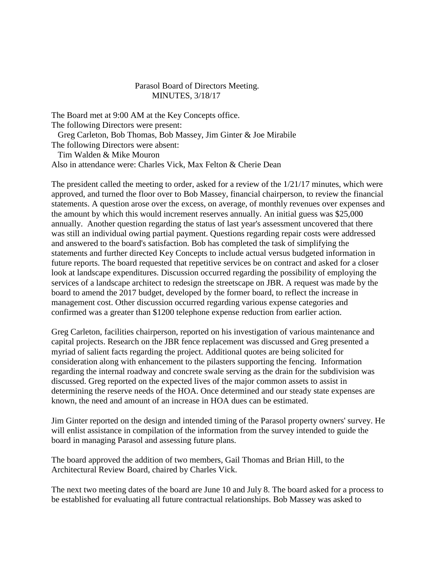## Parasol Board of Directors Meeting. MINUTES, 3/18/17

The Board met at 9:00 AM at the Key Concepts office. The following Directors were present: Greg Carleton, Bob Thomas, Bob Massey, Jim Ginter & Joe Mirabile The following Directors were absent: Tim Walden & Mike Mouron

Also in attendance were: Charles Vick, Max Felton & Cherie Dean

The president called the meeting to order, asked for a review of the 1/21/17 minutes, which were approved, and turned the floor over to Bob Massey, financial chairperson, to review the financial statements. A question arose over the excess, on average, of monthly revenues over expenses and the amount by which this would increment reserves annually. An initial guess was \$25,000 annually. Another question regarding the status of last year's assessment uncovered that there was still an individual owing partial payment. Questions regarding repair costs were addressed and answered to the board's satisfaction. Bob has completed the task of simplifying the statements and further directed Key Concepts to include actual versus budgeted information in future reports. The board requested that repetitive services be on contract and asked for a closer look at landscape expenditures. Discussion occurred regarding the possibility of employing the services of a landscape architect to redesign the streetscape on JBR. A request was made by the board to amend the 2017 budget, developed by the former board, to reflect the increase in management cost. Other discussion occurred regarding various expense categories and confirmed was a greater than \$1200 telephone expense reduction from earlier action.

Greg Carleton, facilities chairperson, reported on his investigation of various maintenance and capital projects. Research on the JBR fence replacement was discussed and Greg presented a myriad of salient facts regarding the project. Additional quotes are being solicited for consideration along with enhancement to the pilasters supporting the fencing. Information regarding the internal roadway and concrete swale serving as the drain for the subdivision was discussed. Greg reported on the expected lives of the major common assets to assist in determining the reserve needs of the HOA. Once determined and our steady state expenses are known, the need and amount of an increase in HOA dues can be estimated.

Jim Ginter reported on the design and intended timing of the Parasol property owners' survey. He will enlist assistance in compilation of the information from the survey intended to guide the board in managing Parasol and assessing future plans.

The board approved the addition of two members, Gail Thomas and Brian Hill, to the Architectural Review Board, chaired by Charles Vick.

The next two meeting dates of the board are June 10 and July 8. The board asked for a process to be established for evaluating all future contractual relationships. Bob Massey was asked to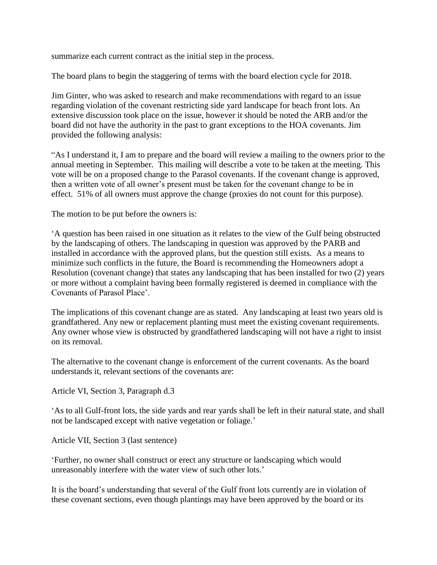summarize each current contract as the initial step in the process.

The board plans to begin the staggering of terms with the board election cycle for 2018.

Jim Ginter, who was asked to research and make recommendations with regard to an issue regarding violation of the covenant restricting side yard landscape for beach front lots. An extensive discussion took place on the issue, however it should be noted the ARB and/or the board did not have the authority in the past to grant exceptions to the HOA covenants. Jim provided the following analysis:

"As I understand it, I am to prepare and the board will review a mailing to the owners prior to the annual meeting in September. This mailing will describe a vote to be taken at the meeting. This vote will be on a proposed change to the Parasol covenants. If the covenant change is approved, then a written vote of all owner's present must be taken for the covenant change to be in effect. 51% of all owners must approve the change (proxies do not count for this purpose).

The motion to be put before the owners is:

'A question has been raised in one situation as it relates to the view of the Gulf being obstructed by the landscaping of others. The landscaping in question was approved by the PARB and installed in accordance with the approved plans, but the question still exists. As a means to minimize such conflicts in the future, the Board is recommending the Homeowners adopt a Resolution (covenant change) that states any landscaping that has been installed for two (2) years or more without a complaint having been formally registered is deemed in compliance with the Covenants of Parasol Place'.

The implications of this covenant change are as stated. Any landscaping at least two years old is grandfathered. Any new or replacement planting must meet the existing covenant requirements. Any owner whose view is obstructed by grandfathered landscaping will not have a right to insist on its removal.

The alternative to the covenant change is enforcement of the current covenants. As the board understands it, relevant sections of the covenants are:

Article VI, Section 3, Paragraph d.3

'As to all Gulf-front lots, the side yards and rear yards shall be left in their natural state, and shall not be landscaped except with native vegetation or foliage.'

Article VII, Section 3 (last sentence)

'Further, no owner shall construct or erect any structure or landscaping which would unreasonably interfere with the water view of such other lots.'

It is the board's understanding that several of the Gulf front lots currently are in violation of these covenant sections, even though plantings may have been approved by the board or its